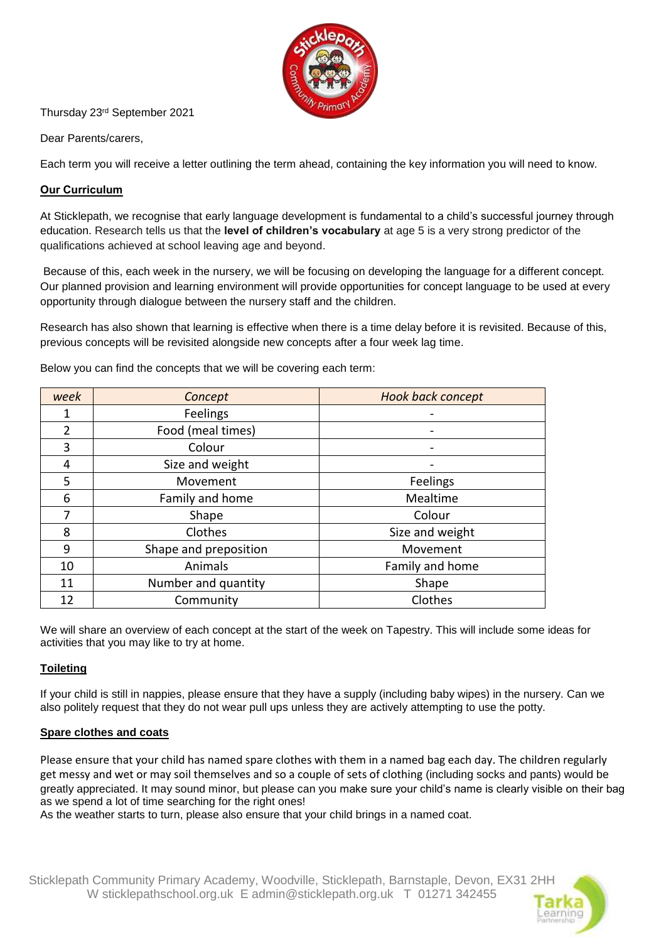

### Thursday 23rd September 2021

Dear Parents/carers,

Each term you will receive a letter outlining the term ahead, containing the key information you will need to know.

# **Our Curriculum**

At Sticklepath, we recognise that early language development is fundamental to a child's successful journey through education. Research tells us that the **level of children's vocabulary** at age 5 is a very strong predictor of the qualifications achieved at school leaving age and beyond.

Because of this, each week in the nursery, we will be focusing on developing the language for a different concept. Our planned provision and learning environment will provide opportunities for concept language to be used at every opportunity through dialogue between the nursery staff and the children.

Research has also shown that learning is effective when there is a time delay before it is revisited. Because of this, previous concepts will be revisited alongside new concepts after a four week lag time.

| week           | Concept               | <b>Hook back concept</b> |
|----------------|-----------------------|--------------------------|
|                | Feelings              |                          |
| $\overline{2}$ | Food (meal times)     |                          |
| 3              | Colour                |                          |
| 4              | Size and weight       |                          |
| 5              | Movement              | Feelings                 |
| 6              | Family and home       | Mealtime                 |
| 7              | Shape                 | Colour                   |
| 8              | Clothes               | Size and weight          |
| 9              | Shape and preposition | Movement                 |
| 10             | Animals               | Family and home          |
| 11             | Number and quantity   | Shape                    |
| 12             | Community             | Clothes                  |

Below you can find the concepts that we will be covering each term:

We will share an overview of each concept at the start of the week on Tapestry. This will include some ideas for activities that you may like to try at home.

# **Toileting**

If your child is still in nappies, please ensure that they have a supply (including baby wipes) in the nursery. Can we also politely request that they do not wear pull ups unless they are actively attempting to use the potty.

### **Spare clothes and coats**

Please ensure that your child has named spare clothes with them in a named bag each day. The children regularly get messy and wet or may soil themselves and so a couple of sets of clothing (including socks and pants) would be greatly appreciated. It may sound minor, but please can you make sure your child's name is clearly visible on their bag as we spend a lot of time searching for the right ones!

As the weather starts to turn, please also ensure that your child brings in a named coat.